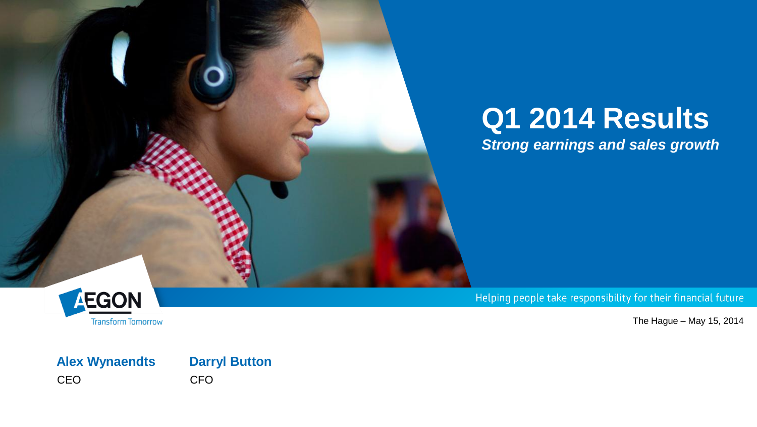

# **Q1 2014 Results**

*Strong earnings and sales growth* 



Helping people take responsibility for their financial future

The Hague – May 15, 2014

#### **Alex Wynaendts Darryl Button** CEO CFO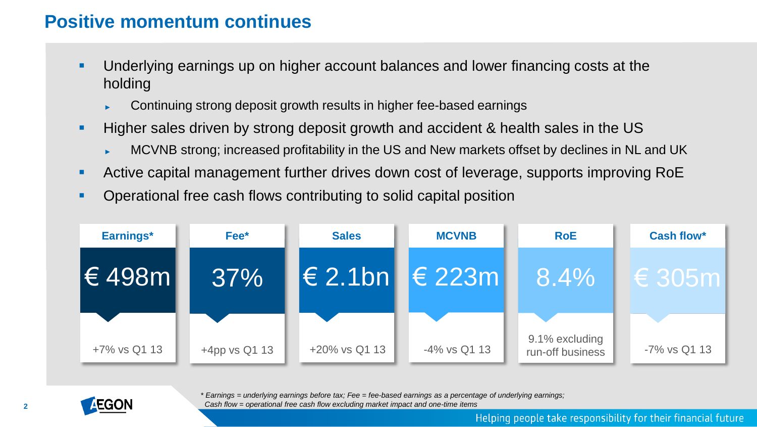## **Positive momentum continues**

- Underlying earnings up on higher account balances and lower financing costs at the holding
	- Continuing strong deposit growth results in higher fee-based earnings
- **Higher sales driven by strong deposit growth and accident & health sales in the US** 
	- ► MCVNB strong; increased profitability in the US and New markets offset by declines in NL and UK
- Active capital management further drives down cost of leverage, supports improving RoE
- **Operational free cash flows contributing to solid capital position**

| Earnings*    | Fee*             | <b>Sales</b>                        | <b>MCVNB</b>              |                                    | <b>Cash flow*</b> |  |
|--------------|------------------|-------------------------------------|---------------------------|------------------------------------|-------------------|--|
| I€ 498m l    | 37%              | $\mid \in 2.1$ bn $\mid \cdot \mid$ | $\vert \in 223$ m $\vert$ | $8.4\%$                            | $\in$ 305ml       |  |
|              |                  |                                     |                           |                                    |                   |  |
| +7% vs Q1 13 | $+4$ pp vs Q1 13 | +20% vs Q1 13                       | -4% vs Q1 13              | 9.1% excluding<br>run-off business | -7% vs Q1 13      |  |



*\* Earnings = underlying earnings before tax; Fee = fee-based earnings as a percentage of underlying earnings; Cash flow = operational free cash flow excluding market impact and one-time items*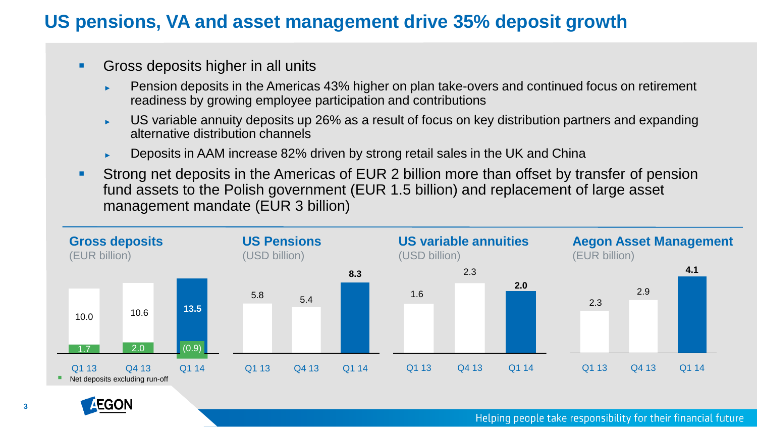# **US pensions, VA and asset management drive 35% deposit growth**

- **Gross deposits higher in all units** 
	- ► Pension deposits in the Americas 43% higher on plan take-overs and continued focus on retirement readiness by growing employee participation and contributions
	- ► US variable annuity deposits up 26% as a result of focus on key distribution partners and expanding alternative distribution channels
	- ► Deposits in AAM increase 82% driven by strong retail sales in the UK and China
- Strong net deposits in the Americas of EUR 2 billion more than offset by transfer of pension fund assets to the Polish government (EUR 1.5 billion) and replacement of large asset management mandate (EUR 3 billion)



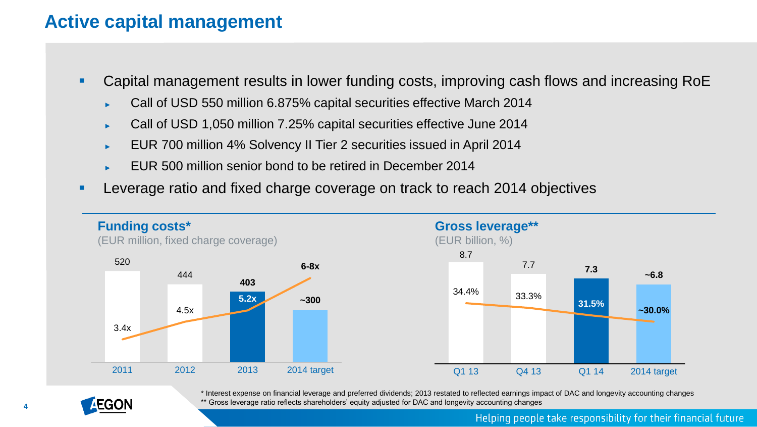# **Active capital management**

- Capital management results in lower funding costs, improving cash flows and increasing RoE
	- Call of USD 550 million 6.875% capital securities effective March 2014
	- Call of USD 1,050 million 7.25% capital securities effective June 2014
	- ► EUR 700 million 4% Solvency II Tier 2 securities issued in April 2014
	- EUR 500 million senior bond to be retired in December 2014
- Leverage ratio and fixed charge coverage on track to reach 2014 objectives



\* Interest expense on financial leverage and preferred dividends; 2013 restated to reflected earnings impact of DAC and longevity accounting changes \*\* Gross leverage ratio reflects shareholders' equity adjusted for DAC and longevity accounting changes

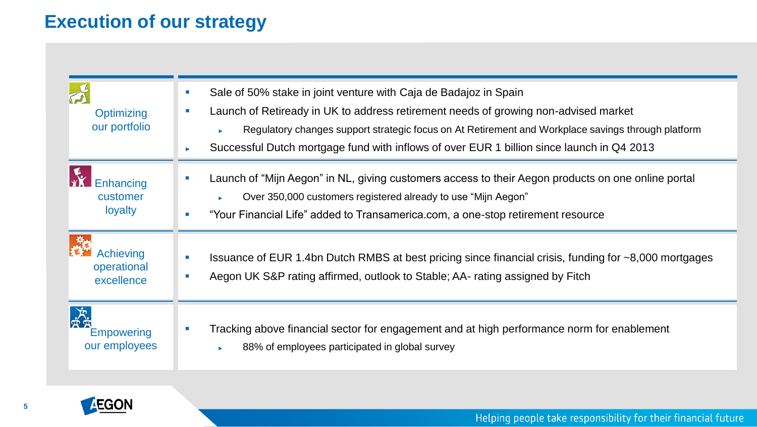# **Execution of our strategy**

| Optimizing<br>our portfolio                   | Sale of 50% stake in joint venture with Caja de Badajoz in Spain<br><b>In</b><br>Launch of Retiready in UK to address retirement needs of growing non-advised market<br><b>D</b><br>Regulatory changes support strategic focus on At Retirement and Workplace savings through platform<br>Successful Dutch mortgage fund with inflows of over EUR 1 billion since launch in Q4 2013 |
|-----------------------------------------------|-------------------------------------------------------------------------------------------------------------------------------------------------------------------------------------------------------------------------------------------------------------------------------------------------------------------------------------------------------------------------------------|
| <b>Enhancing</b><br>customer<br>loyalty       | Launch of "Mijn Aegon" in NL, giving customers access to their Aegon products on one online portal<br>Over 350,000 customers registered already to use "Mijn Aegon"<br>"Your Financial Life" added to Transamerica.com, a one-stop retirement resource                                                                                                                              |
| <b>Achieving</b><br>operational<br>excellence | Issuance of EUR 1.4bn Dutch RMBS at best pricing since financial crisis, funding for ~8,000 mortgages<br>п<br>Aegon UK S&P rating affirmed, outlook to Stable; AA- rating assigned by Fitch<br>п                                                                                                                                                                                    |
| <b>Empowering</b><br>our employees            | Tracking above financial sector for engagement and at high performance norm for enablement<br>88% of employees participated in global survey                                                                                                                                                                                                                                        |

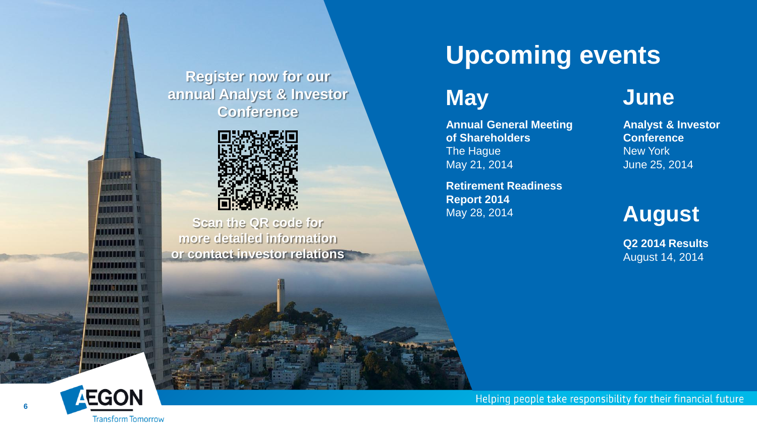**Register now for our annual Analyst & Investor Conference**



**Scan the QR code for more detailed information or contact investor relations** **Upcoming events**

# **May**

**Annual General Meeting of Shareholders** The Hague May 21, 2014

**Retirement Readiness Report 2014**  May 28, 2014

# **June**

**Analyst & Investor Conference** New York June 25, 2014

# **August**

**Q2 2014 Results** August 14, 2014



**6**

UNDEER **FALLS ALLINDR** man yang t **RAPPOND I** i di Tituli I ,,,,,,,,,,, **BUSERSER I** ,,,,,,,,,,,, i i i bibliotti dell' **........... HARBBORDHOMM** <u>HIII BITIRITI</u> **TITULER AND ALLE** <u>herbertannen</u> ,,,,,,,,,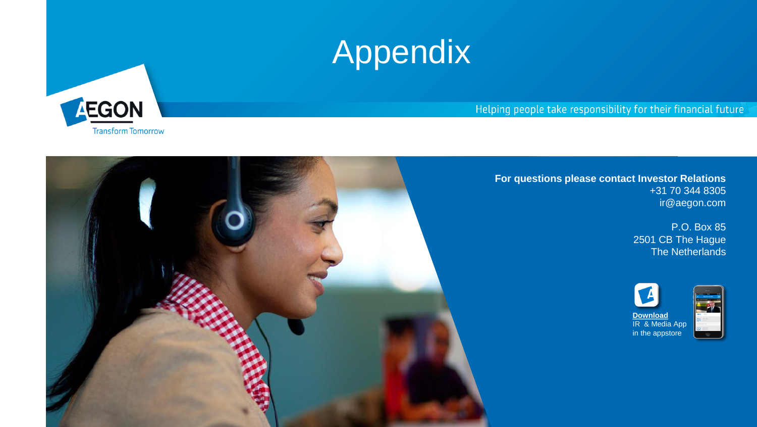# **Appendix** Appendix



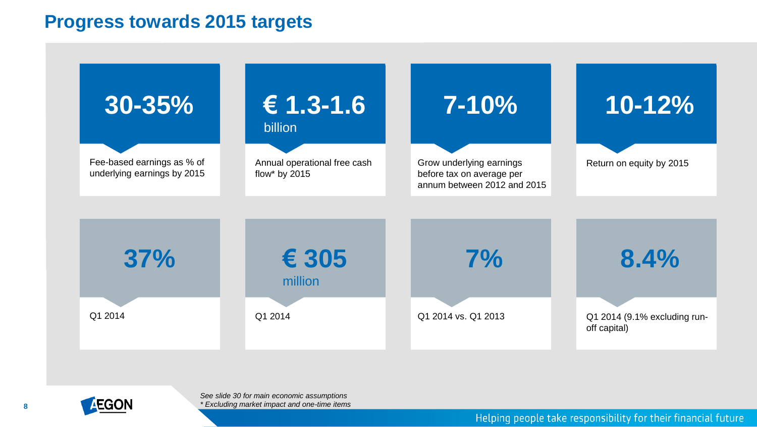#### **Progress towards 2015 targets**



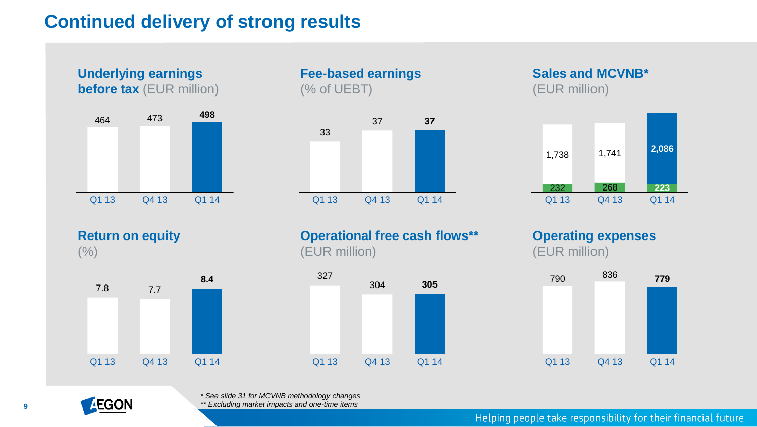# **Continued delivery of strong results**

**Underlying earnings before tax** (EUR million)



**Fee-based earnings** (% of UEBT)



**Sales and MCVNB\*** (EUR million)



**Return on equity**  $(%)$ 



**Operational free cash flows\*\*** (EUR million)









**9**

*\* See slide 31 for MCVNB methodology changes*

*\*\* Excluding market impacts and one-time items*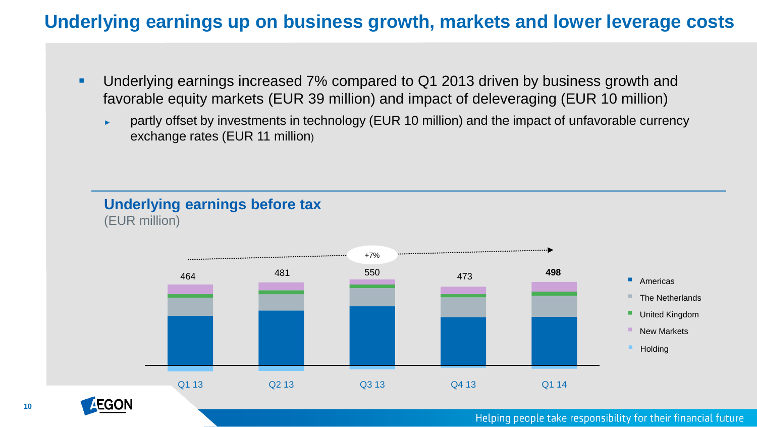# **Underlying earnings up on business growth, markets and lower leverage costs**

- **Underlying earnings increased 7% compared to Q1 2013 driven by business growth and** favorable equity markets (EUR 39 million) and impact of deleveraging (EUR 10 million)
	- ► partly offset by investments in technology (EUR 10 million) and the impact of unfavorable currency exchange rates (EUR 11 million)

#### **Underlying earnings before tax**  (EUR million)



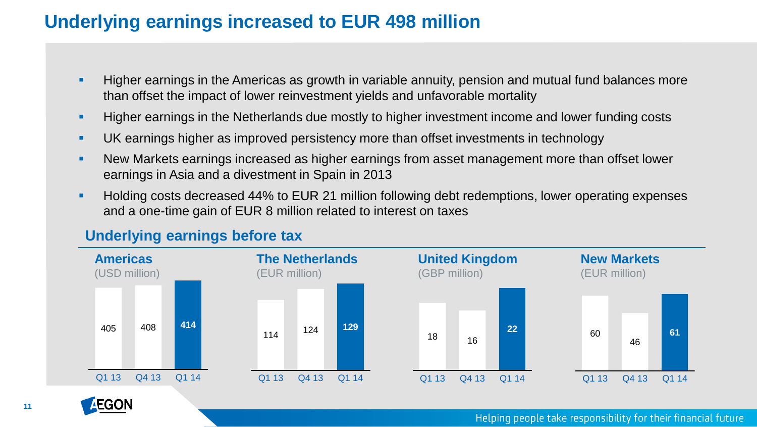# **Underlying earnings increased to EUR 498 million**

- **Higher earnings in the Americas as growth in variable annuity, pension and mutual fund balances more** than offset the impact of lower reinvestment yields and unfavorable mortality
- **Higher earnings in the Netherlands due mostly to higher investment income and lower funding costs**
- UK earnings higher as improved persistency more than offset investments in technology
- **New Markets earnings increased as higher earnings from asset management more than offset lower** earnings in Asia and a divestment in Spain in 2013
- **Holding costs decreased 44% to EUR 21 million following debt redemptions, lower operating expenses** and a one-time gain of EUR 8 million related to interest on taxes

#### **Underlying earnings before tax**



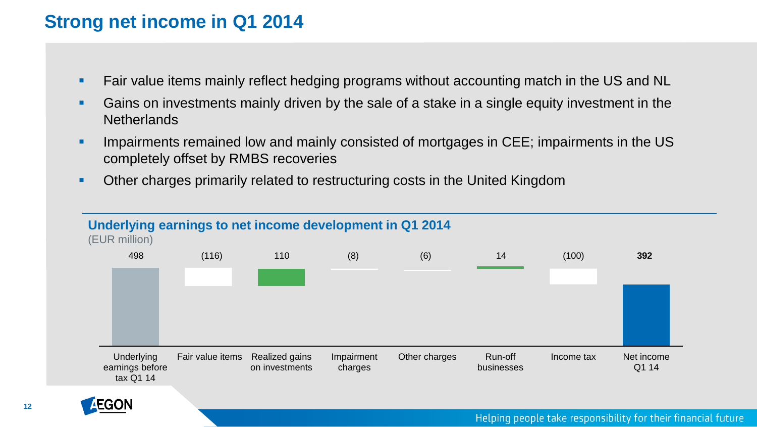# **Strong net income in Q1 2014**

- Fair value items mainly reflect hedging programs without accounting match in the US and NL
- Gains on investments mainly driven by the sale of a stake in a single equity investment in the **Netherlands**
- Impairments remained low and mainly consisted of mortgages in CEE; impairments in the US completely offset by RMBS recoveries
- Other charges primarily related to restructuring costs in the United Kingdom



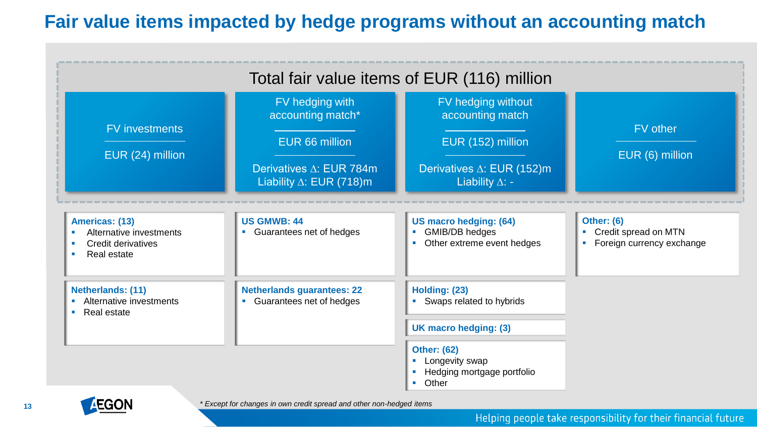# **Fair value items impacted by hedge programs without an accounting match**



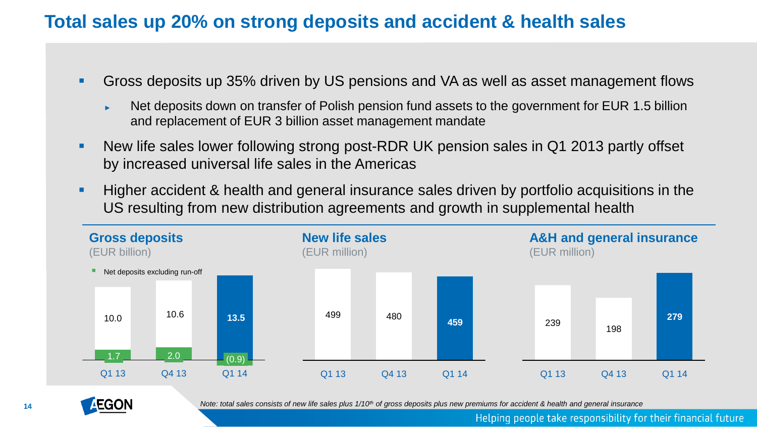### **Total sales up 20% on strong deposits and accident & health sales**

- Gross deposits up 35% driven by US pensions and VA as well as asset management flows
	- ► Net deposits down on transfer of Polish pension fund assets to the government for EUR 1.5 billion and replacement of EUR 3 billion asset management mandate
- New life sales lower following strong post-RDR UK pension sales in Q1 2013 partly offset by increased universal life sales in the Americas
- **Higher accident & health and general insurance sales driven by portfolio acquisitions in the** US resulting from new distribution agreements and growth in supplemental health





*Note: total sales consists of new life sales plus 1/10th of gross deposits plus new premiums for accident & health and general insurance*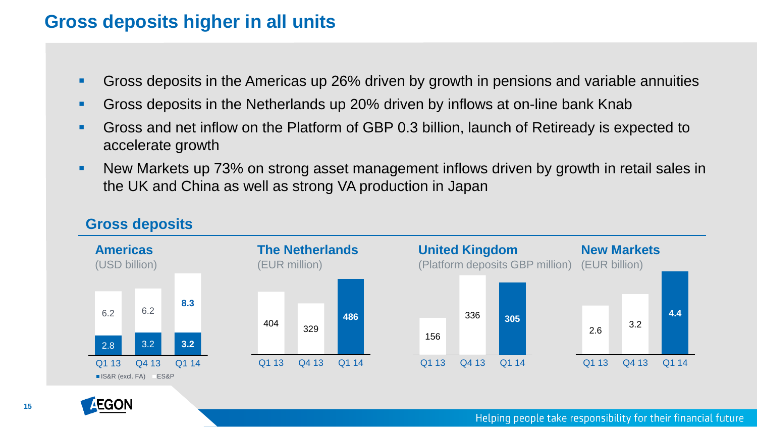#### **Gross deposits higher in all units**

- Gross deposits in the Americas up 26% driven by growth in pensions and variable annuities
- Gross deposits in the Netherlands up 20% driven by inflows at on-line bank Knab
- Gross and net inflow on the Platform of GBP 0.3 billion, launch of Retiready is expected to accelerate growth
- New Markets up 73% on strong asset management inflows driven by growth in retail sales in the UK and China as well as strong VA production in Japan



#### **Gross deposits**

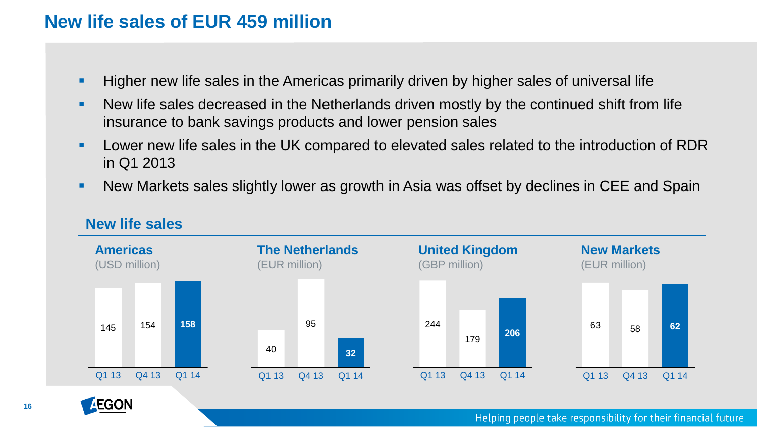#### **New life sales of EUR 459 million**

- **Higher new life sales in the Americas primarily driven by higher sales of universal life**
- New life sales decreased in the Netherlands driven mostly by the continued shift from life insurance to bank savings products and lower pension sales
- **Lower new life sales in the UK compared to elevated sales related to the introduction of RDR** in Q1 2013
- New Markets sales slightly lower as growth in Asia was offset by declines in CEE and Spain



#### **New life sales**

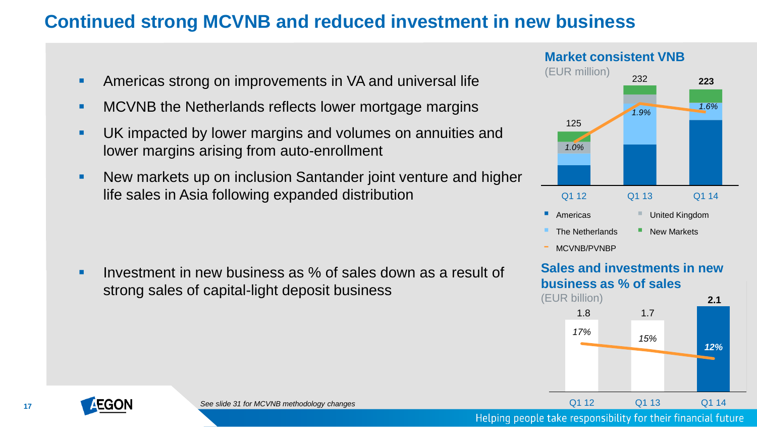# **Continued strong MCVNB and reduced investment in new business**

- **Americas strong on improvements in VA and universal life**
- **MCVNB the Netherlands reflects lower mortgage margins**
- UK impacted by lower margins and volumes on annuities and lower margins arising from auto-enrollment
- **New markets up on inclusion Santander joint venture and higher** life sales in Asia following expanded distribution

Investment in new business as  $%$  of sales down as a result of strong sales of capital-light deposit business



#### **Sales and investments in new business as % of sales**



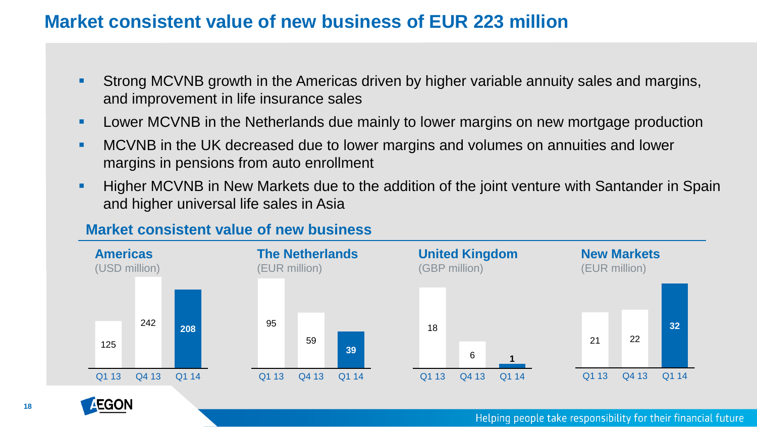### **Market consistent value of new business of EUR 223 million**

- Strong MCVNB growth in the Americas driven by higher variable annuity sales and margins, and improvement in life insurance sales
- **Lower MCVNB** in the Netherlands due mainly to lower margins on new mortgage production
- **MCVNB** in the UK decreased due to lower margins and volumes on annuities and lower margins in pensions from auto enrollment
- **Higher MCVNB in New Markets due to the addition of the joint venture with Santander in Spain** and higher universal life sales in Asia

#### **Market consistent value of new business**



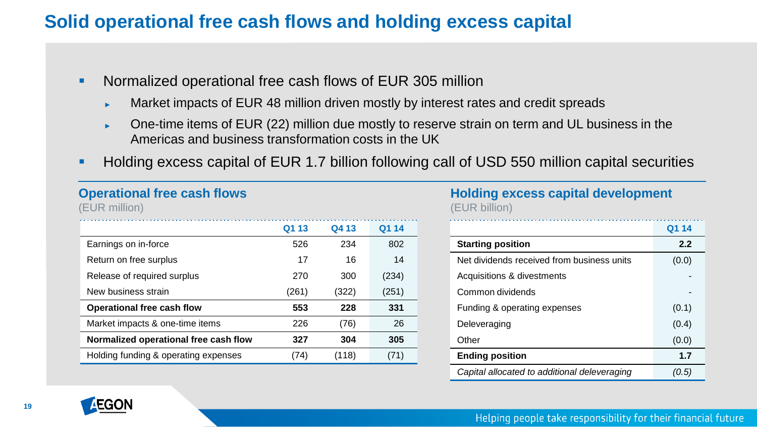# **Solid operational free cash flows and holding excess capital**

- **Normalized operational free cash flows of EUR 305 million** 
	- ► Market impacts of EUR 48 million driven mostly by interest rates and credit spreads
	- ► One-time items of EUR (22) million due mostly to reserve strain on term and UL business in the Americas and business transformation costs in the UK
- Holding excess capital of EUR 1.7 billion following call of USD 550 million capital securities

#### **Operational free cash flows**

(EUR million)

|                                       | Q1 13 | Q4 13 | Q1 14 |
|---------------------------------------|-------|-------|-------|
| Earnings on in-force                  | 526   | 234   | 802   |
| Return on free surplus                | 17    | 16    | 14    |
| Release of required surplus           | 270   | 300   | (234) |
| New business strain                   | (261) | (322) | (251) |
| <b>Operational free cash flow</b>     | 553   | 228   | 331   |
| Market impacts & one-time items       | 226   | (76)  | 26    |
| Normalized operational free cash flow | 327   | 304   | 305   |
| Holding funding & operating expenses  | (74)  | (118) | (71)  |

#### **Holding excess capital development** (EUR billion)

|                                              | Q1 14 |
|----------------------------------------------|-------|
| <b>Starting position</b>                     | 2.2   |
| Net dividends received from business units   | (0.0) |
| Acquisitions & divestments                   |       |
| Common dividends                             |       |
| Funding & operating expenses                 | (0.1) |
| Deleveraging                                 | (0.4) |
| Other                                        | (0.0) |
| <b>Ending position</b>                       | 1.7   |
| Capital allocated to additional deleveraging | (0.5) |

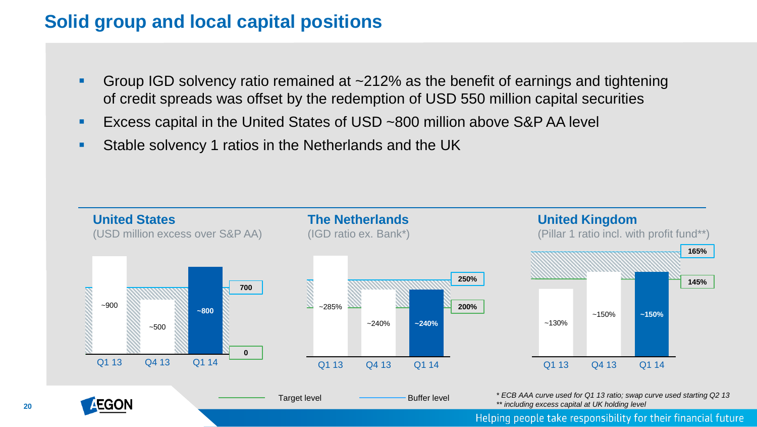# **Solid group and local capital positions**

- Group IGD solvency ratio remained at ~212% as the benefit of earnings and tightening of credit spreads was offset by the redemption of USD 550 million capital securities
- Excess capital in the United States of USD ~800 million above S&P AA level
- Stable solvency 1 ratios in the Netherlands and the UK

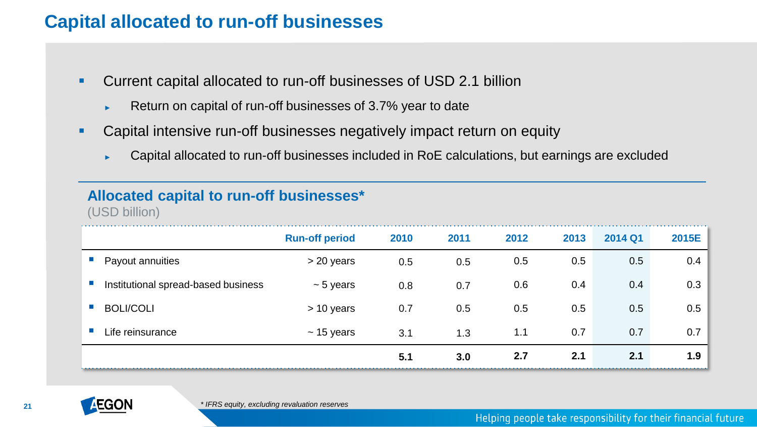# **Capital allocated to run-off businesses**

- Current capital allocated to run-off businesses of USD 2.1 billion
	- ► Return on capital of run-off businesses of 3.7% year to date
- Capital intensive run-off businesses negatively impact return on equity
	- ► Capital allocated to run-off businesses included in RoE calculations, but earnings are excluded

#### **Allocated capital to run-off businesses\***

(USD billion)

|                                     | <b>Run-off period</b> | 2010 | 2011 | 2012 | 2013 | 2014 Q1 | 2015E |
|-------------------------------------|-----------------------|------|------|------|------|---------|-------|
| Payout annuities                    | > 20 years            | 0.5  | 0.5  | 0.5  | 0.5  | 0.5     | 0.4   |
| Institutional spread-based business | $\sim$ 5 years        | 0.8  | 0.7  | 0.6  | 0.4  | 0.4     | 0.3   |
| <b>BOLI/COLI</b>                    | > 10 years            | 0.7  | 0.5  | 0.5  | 0.5  | 0.5     | 0.5   |
| Life reinsurance                    | $\sim$ 15 years       | 3.1  | 1.3  | 1.1  | 0.7  | 0.7     | 0.7   |
|                                     |                       | 5.1  | 3.0  | 2.7  | 2.1  | 2.1     | 1.9   |

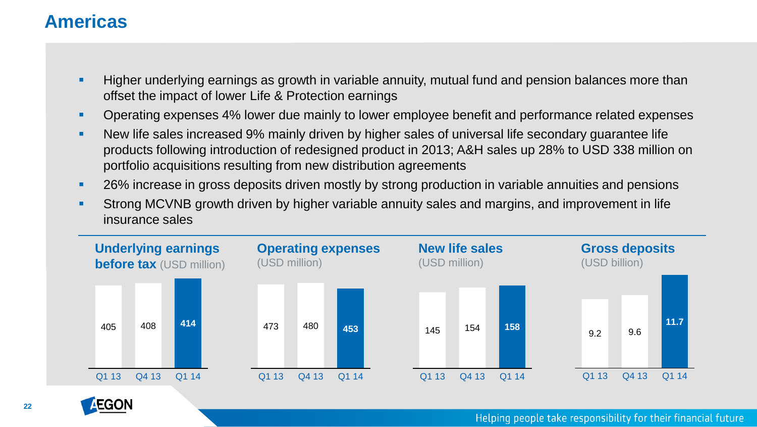### **Americas**

- **Higher underlying earnings as growth in variable annuity, mutual fund and pension balances more than** offset the impact of lower Life & Protection earnings
- **•** Operating expenses 4% lower due mainly to lower employee benefit and performance related expenses
- **New life sales increased 9% mainly driven by higher sales of universal life secondary guarantee life** products following introduction of redesigned product in 2013; A&H sales up 28% to USD 338 million on portfolio acquisitions resulting from new distribution agreements
- **26% increase in gross deposits driven mostly by strong production in variable annuities and pensions**
- **Strong MCVNB growth driven by higher variable annuity sales and margins, and improvement in life** insurance sales



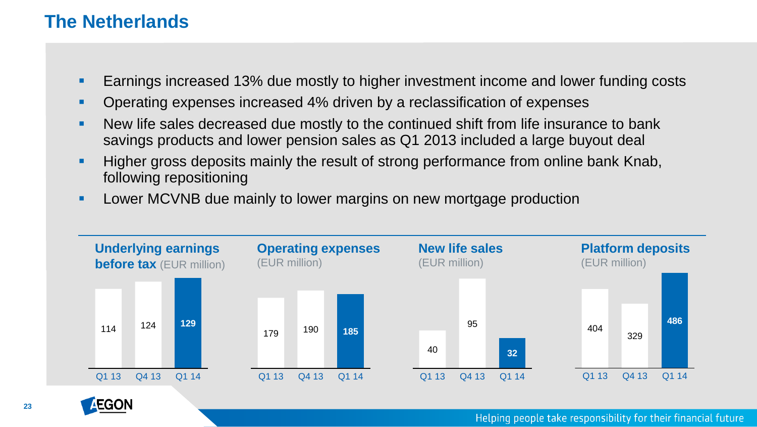#### **The Netherlands**

- **Earnings increased 13% due mostly to higher investment income and lower funding costs**
- **Operating expenses increased 4% driven by a reclassification of expenses**
- New life sales decreased due mostly to the continued shift from life insurance to bank savings products and lower pension sales as Q1 2013 included a large buyout deal
- **Higher gross deposits mainly the result of strong performance from online bank Knab,** following repositioning
- **Lower MCVNB due mainly to lower margins on new mortgage production**



**23**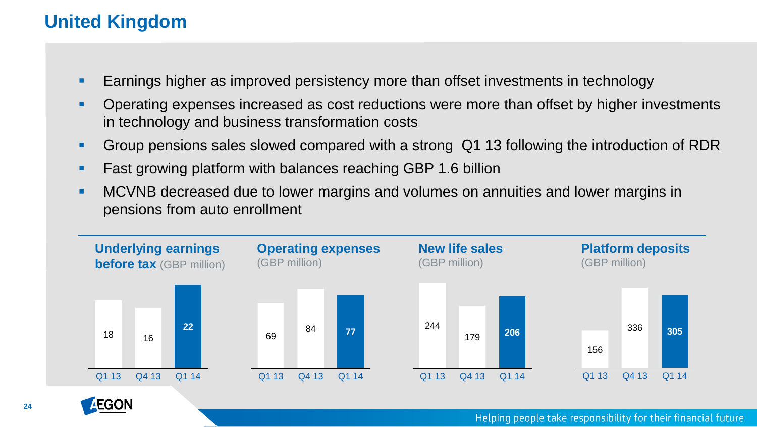# **United Kingdom**

- **Earnings higher as improved persistency more than offset investments in technology**
- **•** Operating expenses increased as cost reductions were more than offset by higher investments in technology and business transformation costs
- Group pensions sales slowed compared with a strong Q1 13 following the introduction of RDR
- **Fast growing platform with balances reaching GBP 1.6 billion**
- **MCVNB decreased due to lower margins and volumes on annuities and lower margins in** pensions from auto enrollment



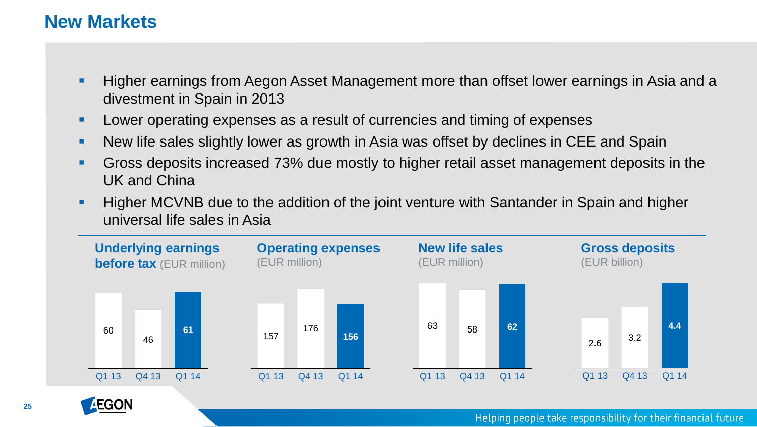#### **New Markets**

- Higher earnings from Aegon Asset Management more than offset lower earnings in Asia and a divestment in Spain in 2013
- **Lower operating expenses as a result of currencies and timing of expenses**
- New life sales slightly lower as growth in Asia was offset by declines in CEE and Spain
- Gross deposits increased 73% due mostly to higher retail asset management deposits in the UK and China
- **Higher MCVNB due to the addition of the joint venture with Santander in Spain and higher** universal life sales in Asia



**25**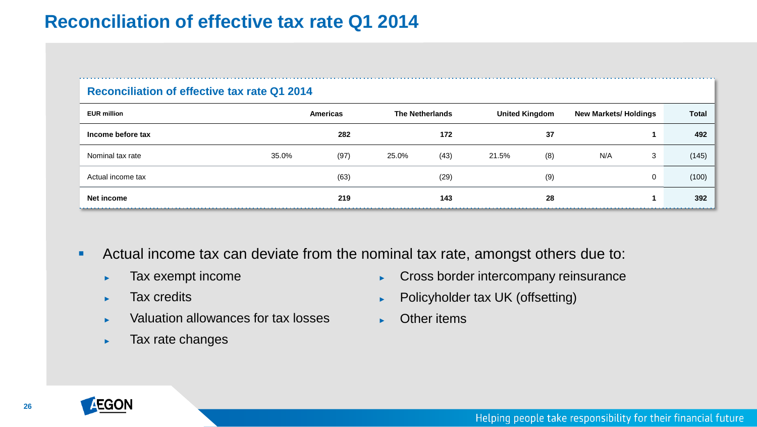# **Reconciliation of effective tax rate Q1 2014**

#### **Reconciliation of effective tax rate Q1 2014**

| <b>EUR million</b> |       | Americas | <b>The Netherlands</b> |      | <b>United Kingdom</b> |     | <b>New Markets/Holdings</b> |   | <b>Total</b> |
|--------------------|-------|----------|------------------------|------|-----------------------|-----|-----------------------------|---|--------------|
| Income before tax  |       | 282      |                        | 172  |                       | 37  |                             |   | 492          |
| Nominal tax rate   | 35.0% | (97)     | 25.0%                  | (43) | 21.5%                 | (8) | N/A                         | 3 | (145)        |
| Actual income tax  |       | (63)     |                        | (29) |                       | (9) |                             | 0 | (100)        |
| Net income         |       | 219      |                        | 143  |                       | 28  |                             |   | 392          |

- Actual income tax can deviate from the nominal tax rate, amongst others due to:
	- ► Tax exempt income
	- ► Tax credits
	- ► Valuation allowances for tax losses
	- ► Tax rate changes
- ► Cross border intercompany reinsurance
- ► Policyholder tax UK (offsetting)
- ► Other items

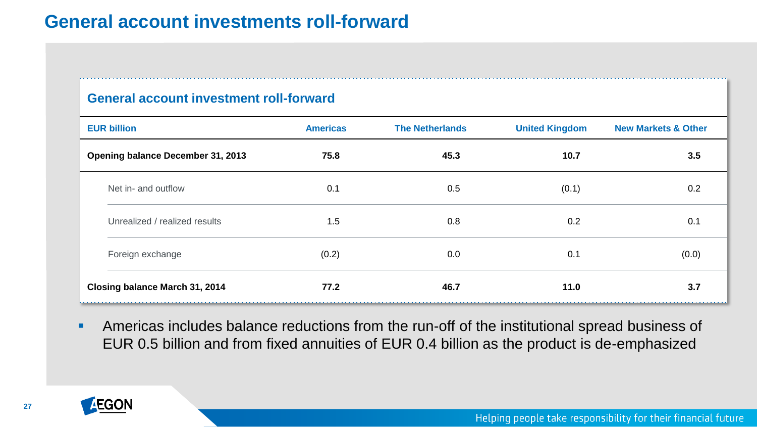# **General account investments roll-forward**

#### **General account investment roll-forward**

| <b>EUR billion</b>                | <b>Americas</b> | <b>The Netherlands</b> | <b>United Kingdom</b> | <b>New Markets &amp; Other</b> |
|-----------------------------------|-----------------|------------------------|-----------------------|--------------------------------|
| Opening balance December 31, 2013 | 75.8            | 45.3                   | 10.7                  | 3.5                            |
| Net in- and outflow               | 0.1             | 0.5                    | (0.1)                 | 0.2                            |
| Unrealized / realized results     | 1.5             | 0.8                    | 0.2                   | 0.1                            |
| Foreign exchange                  | (0.2)           | 0.0                    | 0.1                   | (0.0)                          |
| Closing balance March 31, 2014    | 77.2            | 46.7                   | 11.0                  | 3.7                            |

 Americas includes balance reductions from the run-off of the institutional spread business of EUR 0.5 billion and from fixed annuities of EUR 0.4 billion as the product is de-emphasized

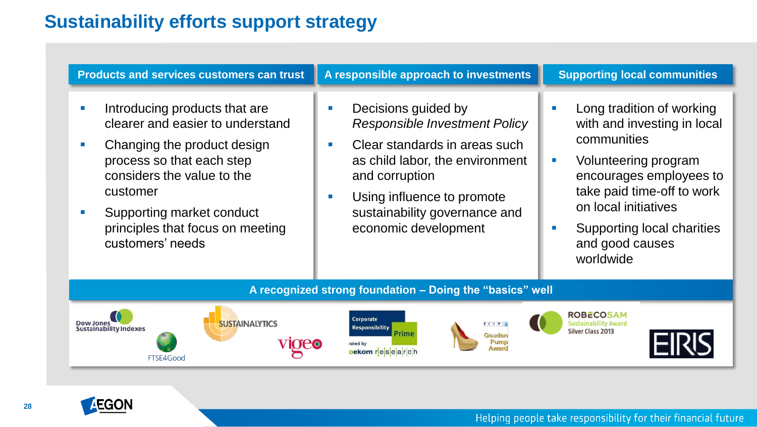# **Sustainability efforts support strategy**

| <b>Products and services customers can trust</b>                                                                                                                                                                                                             | A responsible approach to investments                                                                                                                                                                                                                                                                                                 | <b>Supporting local communities</b>                                                                                                                                                                                                                                                  |  |  |  |  |
|--------------------------------------------------------------------------------------------------------------------------------------------------------------------------------------------------------------------------------------------------------------|---------------------------------------------------------------------------------------------------------------------------------------------------------------------------------------------------------------------------------------------------------------------------------------------------------------------------------------|--------------------------------------------------------------------------------------------------------------------------------------------------------------------------------------------------------------------------------------------------------------------------------------|--|--|--|--|
| Introducing products that are<br>clearer and easier to understand<br>Changing the product design<br>process so that each step<br>considers the value to the<br>customer<br>Supporting market conduct<br>principles that focus on meeting<br>customers' needs | Decisions guided by<br>$\mathcal{L}_{\mathcal{A}}$<br><b>Responsible Investment Policy</b><br>Clear standards in areas such<br>$\mathcal{L}_{\mathcal{A}}$<br>as child labor, the environment<br>and corruption<br>Using influence to promote<br>$\mathcal{L}_{\mathcal{A}}$<br>sustainability governance and<br>economic development | Long tradition of working<br>with and investing in local<br>communities<br>Volunteering program<br>$\mathcal{L}_{\mathcal{A}}$<br>encourages employees to<br>take paid time-off to work<br>on local initiatives<br><b>Supporting local charities</b><br>and good causes<br>worldwide |  |  |  |  |
| A recognized strong foundation - Doing the "basics" well                                                                                                                                                                                                     |                                                                                                                                                                                                                                                                                                                                       |                                                                                                                                                                                                                                                                                      |  |  |  |  |
| <b>SUSTAINALYTICS</b><br>Dow Jones<br>Sustainability Indexes<br>ETCLACOO                                                                                                                                                                                     | Corporate<br><b>VIII</b> P<br><b>Responsibility</b><br>Prime<br>Gouder<br>rated by<br>cekom research                                                                                                                                                                                                                                  | <b>ROBECOSAM</b><br><b>Sustainability Award</b><br>Silver Class 2013                                                                                                                                                                                                                 |  |  |  |  |



FTSE4Good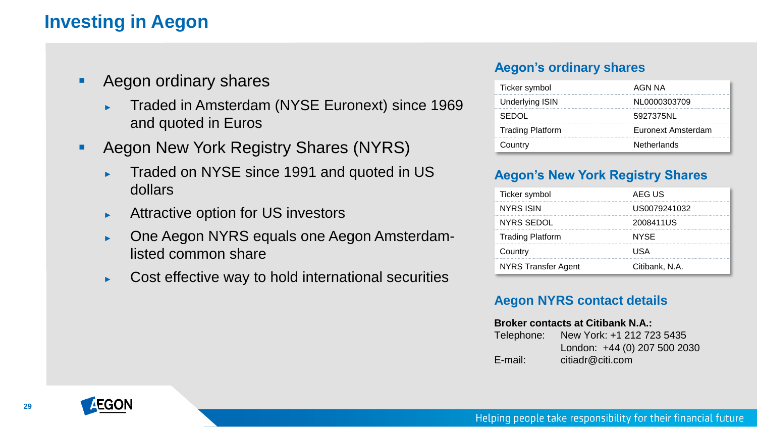# **Investing in Aegon**

- **Aegon ordinary shares** 
	- ► Traded in Amsterdam (NYSE Euronext) since 1969 and quoted in Euros
- **Aegon New York Registry Shares (NYRS)** 
	- ► Traded on NYSE since 1991 and quoted in US dollars
	- ► Attractive option for US investors
	- ► One Aegon NYRS equals one Aegon Amsterdamlisted common share
	- ► Cost effective way to hold international securities

#### **Aegon's ordinary shares**

| Ticker symbol           | AGN NA             |
|-------------------------|--------------------|
| <b>Underlying ISIN</b>  | NL0000303709       |
| SEDOL                   | 5927375NL          |
| <b>Trading Platform</b> | Euronext Amsterdam |
| Country                 | Netherlands        |

#### **Aegon's New York Registry Shares**

| Ticker symbol           | AFG US         |
|-------------------------|----------------|
| NYRS ISIN               | US0079241032   |
| NYRS SEDOL              | 2008411US      |
| <b>Trading Platform</b> | <b>NYSE</b>    |
| Country                 | USA            |
| NYRS Transfer Agent     | Citibank, N.A. |

#### **Aegon NYRS contact details**

#### **Broker contacts at Citibank N.A.:**

| Telephone: | New York: +1 212 723 5435    |  |  |  |  |
|------------|------------------------------|--|--|--|--|
|            | London: +44 (0) 207 500 2030 |  |  |  |  |
| E-mail:    | citiadr@citi.com             |  |  |  |  |

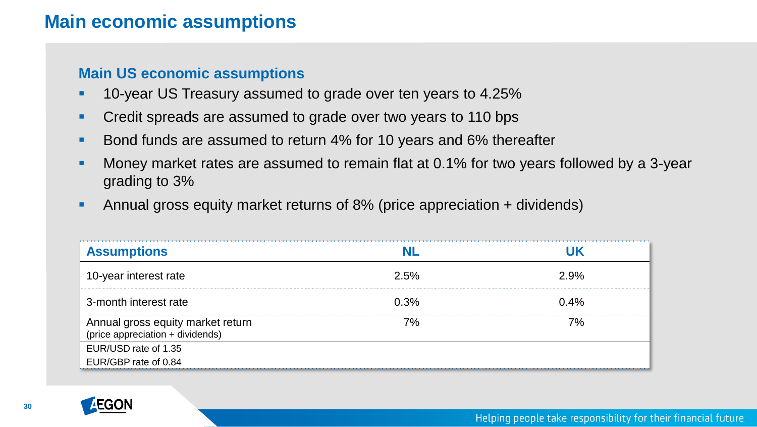# **Main economic assumptions**

#### **Main US economic assumptions**

- **10-year US Treasury assumed to grade over ten years to 4.25%**
- **Credit spreads are assumed to grade over two years to 110 bps**
- Bond funds are assumed to return 4% for 10 years and 6% thereafter
- **Money market rates are assumed to remain flat at 0.1% for two years followed by a 3-year** grading to 3%
- Annual gross equity market returns of 8% (price appreciation + dividends)

| <b>Assumptions</b>                                                    |      |      |
|-----------------------------------------------------------------------|------|------|
| 10-year interest rate                                                 | 2.5% | 2.9% |
| 3-month interest rate                                                 | 0.3% | 0.4% |
| Annual gross equity market return<br>(price appreciation + dividends) | 7%   | 7%   |
| EUR/USD rate of 1.35                                                  |      |      |
| EUR/GBP rate of 0.84                                                  |      |      |

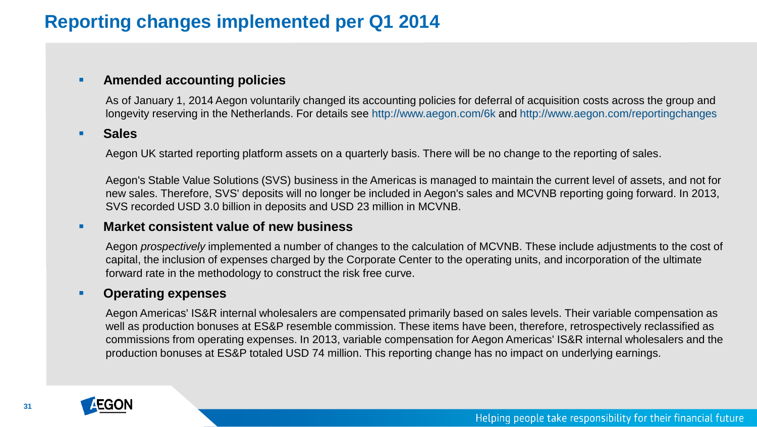# **Reporting changes implemented per Q1 2014**

#### **Amended accounting policies**

As of January 1, 2014 Aegon voluntarily changed its accounting policies for deferral of acquisition costs across the group and longevity reserving in the Netherlands. For details see http://www.aegon.com/6k and http://www.aegon.com/reportingchanges

#### **Sales**

Aegon UK started reporting platform assets on a quarterly basis. There will be no change to the reporting of sales.

Aegon's Stable Value Solutions (SVS) business in the Americas is managed to maintain the current level of assets, and not for new sales. Therefore, SVS' deposits will no longer be included in Aegon's sales and MCVNB reporting going forward. In 2013, SVS recorded USD 3.0 billion in deposits and USD 23 million in MCVNB.

#### **Market consistent value of new business**

Aegon *prospectively* implemented a number of changes to the calculation of MCVNB. These include adjustments to the cost of capital, the inclusion of expenses charged by the Corporate Center to the operating units, and incorporation of the ultimate forward rate in the methodology to construct the risk free curve.

#### **Operating expenses**

Aegon Americas' IS&R internal wholesalers are compensated primarily based on sales levels. Their variable compensation as well as production bonuses at ES&P resemble commission. These items have been, therefore, retrospectively reclassified as commissions from operating expenses. In 2013, variable compensation for Aegon Americas' IS&R internal wholesalers and the production bonuses at ES&P totaled USD 74 million. This reporting change has no impact on underlying earnings.

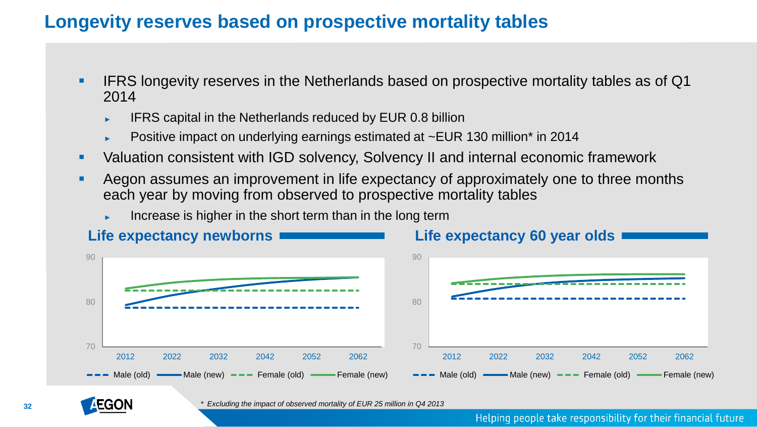## **Longevity reserves based on prospective mortality tables**

- IFRS longevity reserves in the Netherlands based on prospective mortality tables as of Q1 2014
	- IFRS capital in the Netherlands reduced by EUR 0.8 billion
	- Positive impact on underlying earnings estimated at ~EUR 130 million\* in 2014
- Valuation consistent with IGD solvency, Solvency II and internal economic framework
- Aegon assumes an improvement in life expectancy of approximately one to three months each year by moving from observed to prospective mortality tables
	- Increase is higher in the short term than in the long term



#### Life expectancy newborns **Life expectancy 60 year olds**